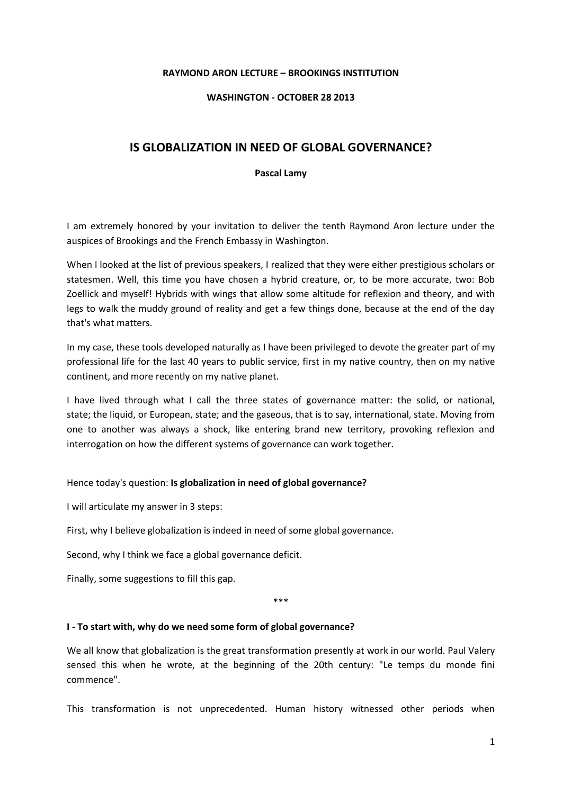### **RAYMOND ARON LECTURE – BROOKINGS INSTITUTION**

### **WASHINGTON - OCTOBER 28 2013**

# **IS GLOBALIZATION IN NEED OF GLOBAL GOVERNANCE?**

#### **Pascal Lamy**

I am extremely honored by your invitation to deliver the tenth Raymond Aron lecture under the auspices of Brookings and the French Embassy in Washington.

When I looked at the list of previous speakers, I realized that they were either prestigious scholars or statesmen. Well, this time you have chosen a hybrid creature, or, to be more accurate, two: Bob Zoellick and myself! Hybrids with wings that allow some altitude for reflexion and theory, and with legs to walk the muddy ground of reality and get a few things done, because at the end of the day that's what matters.

In my case, these tools developed naturally as I have been privileged to devote the greater part of my professional life for the last 40 years to public service, first in my native country, then on my native continent, and more recently on my native planet.

I have lived through what I call the three states of governance matter: the solid, or national, state; the liquid, or European, state; and the gaseous, that is to say, international, state. Moving from one to another was always a shock, like entering brand new territory, provoking reflexion and interrogation on how the different systems of governance can work together.

#### Hence today's question: **Is globalization in need of global governance?**

I will articulate my answer in 3 steps:

First, why I believe globalization is indeed in need of some global governance.

Second, why I think we face a global governance deficit.

Finally, some suggestions to fill this gap.

\*\*\*

#### **I - To start with, why do we need some form of global governance?**

We all know that globalization is the great transformation presently at work in our world. Paul Valery sensed this when he wrote, at the beginning of the 20th century: "Le temps du monde fini commence".

This transformation is not unprecedented. Human history witnessed other periods when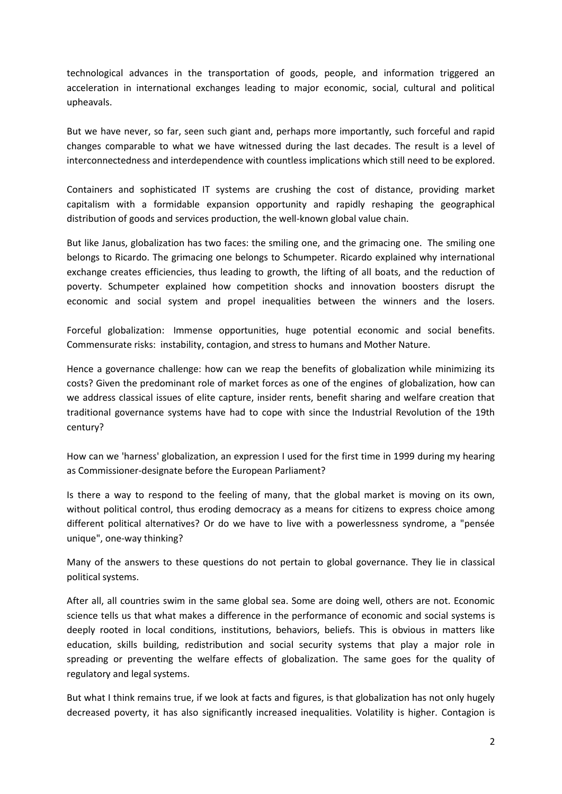technological advances in the transportation of goods, people, and information triggered an acceleration in international exchanges leading to major economic, social, cultural and political upheavals.

But we have never, so far, seen such giant and, perhaps more importantly, such forceful and rapid changes comparable to what we have witnessed during the last decades. The result is a level of interconnectedness and interdependence with countless implications which still need to be explored.

Containers and sophisticated IT systems are crushing the cost of distance, providing market capitalism with a formidable expansion opportunity and rapidly reshaping the geographical distribution of goods and services production, the well-known global value chain.

But like Janus, globalization has two faces: the smiling one, and the grimacing one. The smiling one belongs to Ricardo. The grimacing one belongs to Schumpeter. Ricardo explained why international exchange creates efficiencies, thus leading to growth, the lifting of all boats, and the reduction of poverty. Schumpeter explained how competition shocks and innovation boosters disrupt the economic and social system and propel inequalities between the winners and the losers.

Forceful globalization: Immense opportunities, huge potential economic and social benefits. Commensurate risks: instability, contagion, and stress to humans and Mother Nature.

Hence a governance challenge: how can we reap the benefits of globalization while minimizing its costs? Given the predominant role of market forces as one of the engines of globalization, how can we address classical issues of elite capture, insider rents, benefit sharing and welfare creation that traditional governance systems have had to cope with since the Industrial Revolution of the 19th century?

How can we 'harness' globalization, an expression I used for the first time in 1999 during my hearing as Commissioner-designate before the European Parliament?

Is there a way to respond to the feeling of many, that the global market is moving on its own, without political control, thus eroding democracy as a means for citizens to express choice among different political alternatives? Or do we have to live with a powerlessness syndrome, a "pensée unique", one-way thinking?

Many of the answers to these questions do not pertain to global governance. They lie in classical political systems.

After all, all countries swim in the same global sea. Some are doing well, others are not. Economic science tells us that what makes a difference in the performance of economic and social systems is deeply rooted in local conditions, institutions, behaviors, beliefs. This is obvious in matters like education, skills building, redistribution and social security systems that play a major role in spreading or preventing the welfare effects of globalization. The same goes for the quality of regulatory and legal systems.

But what I think remains true, if we look at facts and figures, is that globalization has not only hugely decreased poverty, it has also significantly increased inequalities. Volatility is higher. Contagion is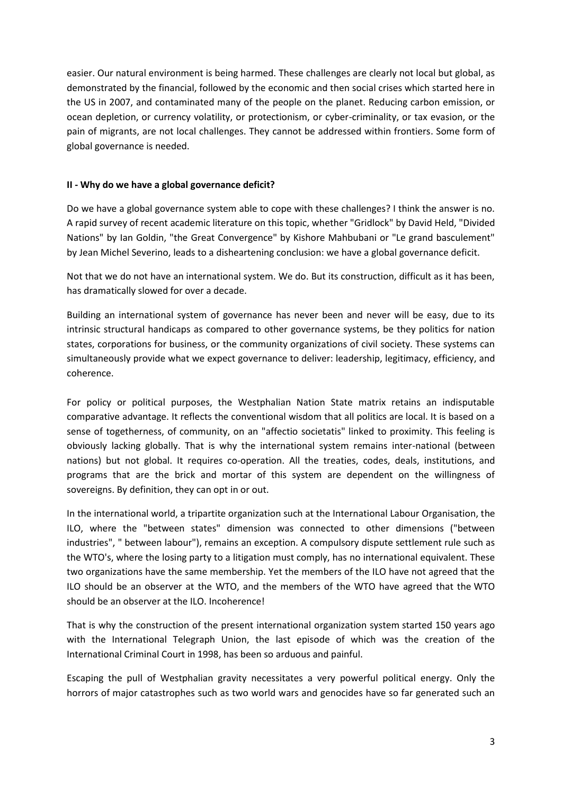easier. Our natural environment is being harmed. These challenges are clearly not local but global, as demonstrated by the financial, followed by the economic and then social crises which started here in the US in 2007, and contaminated many of the people on the planet. Reducing carbon emission, or ocean depletion, or currency volatility, or protectionism, or cyber-criminality, or tax evasion, or the pain of migrants, are not local challenges. They cannot be addressed within frontiers. Some form of global governance is needed.

## **II - Why do we have a global governance deficit?**

Do we have a global governance system able to cope with these challenges? I think the answer is no. A rapid survey of recent academic literature on this topic, whether "Gridlock" by David Held, "Divided Nations" by Ian Goldin, "the Great Convergence" by Kishore Mahbubani or "Le grand basculement" by Jean Michel Severino, leads to a disheartening conclusion: we have a global governance deficit.

Not that we do not have an international system. We do. But its construction, difficult as it has been, has dramatically slowed for over a decade.

Building an international system of governance has never been and never will be easy, due to its intrinsic structural handicaps as compared to other governance systems, be they politics for nation states, corporations for business, or the community organizations of civil society. These systems can simultaneously provide what we expect governance to deliver: leadership, legitimacy, efficiency, and coherence.

For policy or political purposes, the Westphalian Nation State matrix retains an indisputable comparative advantage. It reflects the conventional wisdom that all politics are local. It is based on a sense of togetherness, of community, on an "affectio societatis" linked to proximity. This feeling is obviously lacking globally. That is why the international system remains inter-national (between nations) but not global. It requires co-operation. All the treaties, codes, deals, institutions, and programs that are the brick and mortar of this system are dependent on the willingness of sovereigns. By definition, they can opt in or out.

In the international world, a tripartite organization such at the International Labour Organisation, the ILO, where the "between states" dimension was connected to other dimensions ("between industries", " between labour"), remains an exception. A compulsory dispute settlement rule such as the WTO's, where the losing party to a litigation must comply, has no international equivalent. These two organizations have the same membership. Yet the members of the ILO have not agreed that the ILO should be an observer at the WTO, and the members of the WTO have agreed that the WTO should be an observer at the ILO. Incoherence!

That is why the construction of the present international organization system started 150 years ago with the International Telegraph Union, the last episode of which was the creation of the International Criminal Court in 1998, has been so arduous and painful.

Escaping the pull of Westphalian gravity necessitates a very powerful political energy. Only the horrors of major catastrophes such as two world wars and genocides have so far generated such an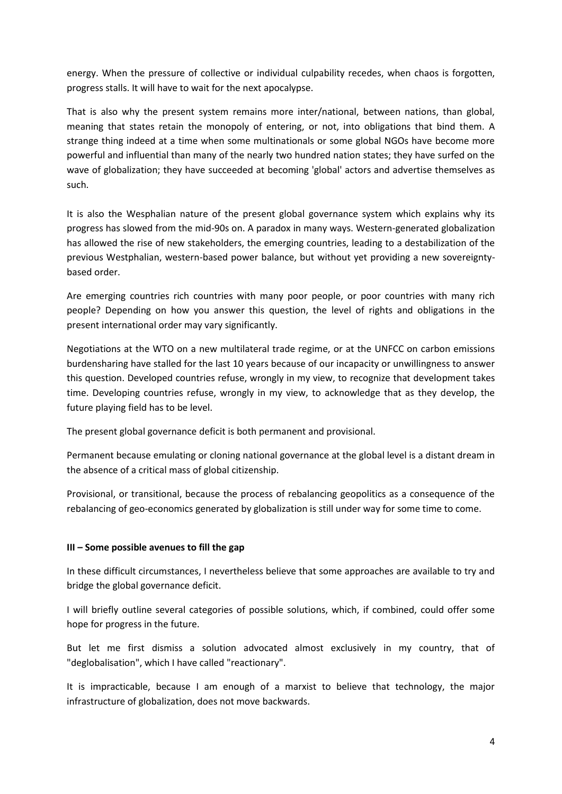energy. When the pressure of collective or individual culpability recedes, when chaos is forgotten, progress stalls. It will have to wait for the next apocalypse.

That is also why the present system remains more inter/national, between nations, than global, meaning that states retain the monopoly of entering, or not, into obligations that bind them. A strange thing indeed at a time when some multinationals or some global NGOs have become more powerful and influential than many of the nearly two hundred nation states; they have surfed on the wave of globalization; they have succeeded at becoming 'global' actors and advertise themselves as such.

It is also the Wesphalian nature of the present global governance system which explains why its progress has slowed from the mid-90s on. A paradox in many ways. Western-generated globalization has allowed the rise of new stakeholders, the emerging countries, leading to a destabilization of the previous Westphalian, western-based power balance, but without yet providing a new sovereigntybased order.

Are emerging countries rich countries with many poor people, or poor countries with many rich people? Depending on how you answer this question, the level of rights and obligations in the present international order may vary significantly.

Negotiations at the WTO on a new multilateral trade regime, or at the UNFCC on carbon emissions burdensharing have stalled for the last 10 years because of our incapacity or unwillingness to answer this question. Developed countries refuse, wrongly in my view, to recognize that development takes time. Developing countries refuse, wrongly in my view, to acknowledge that as they develop, the future playing field has to be level.

The present global governance deficit is both permanent and provisional.

Permanent because emulating or cloning national governance at the global level is a distant dream in the absence of a critical mass of global citizenship.

Provisional, or transitional, because the process of rebalancing geopolitics as a consequence of the rebalancing of geo-economics generated by globalization is still under way for some time to come.

# **III – Some possible avenues to fill the gap**

In these difficult circumstances, I nevertheless believe that some approaches are available to try and bridge the global governance deficit.

I will briefly outline several categories of possible solutions, which, if combined, could offer some hope for progress in the future.

But let me first dismiss a solution advocated almost exclusively in my country, that of "deglobalisation", which I have called "reactionary".

It is impracticable, because I am enough of a marxist to believe that technology, the major infrastructure of globalization, does not move backwards.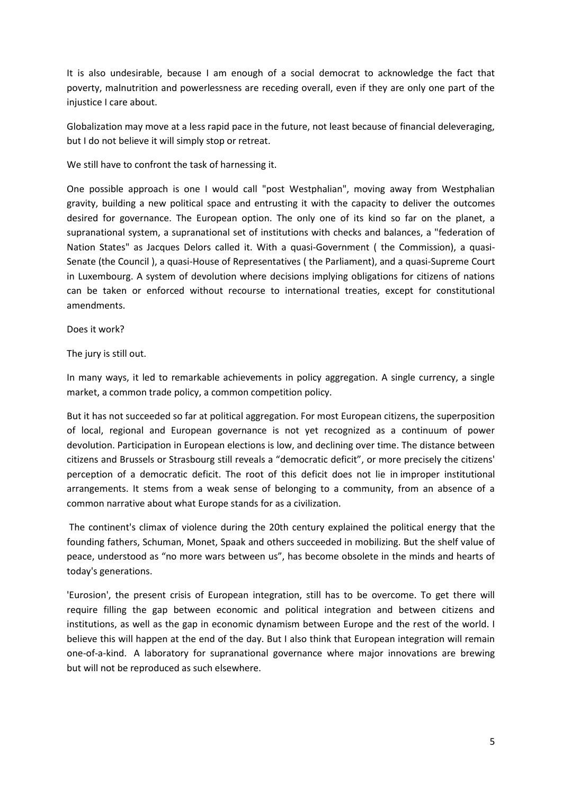It is also undesirable, because I am enough of a social democrat to acknowledge the fact that poverty, malnutrition and powerlessness are receding overall, even if they are only one part of the injustice I care about.

Globalization may move at a less rapid pace in the future, not least because of financial deleveraging, but I do not believe it will simply stop or retreat.

We still have to confront the task of harnessing it.

One possible approach is one I would call "post Westphalian", moving away from Westphalian gravity, building a new political space and entrusting it with the capacity to deliver the outcomes desired for governance. The European option. The only one of its kind so far on the planet, a supranational system, a supranational set of institutions with checks and balances, a "federation of Nation States" as Jacques Delors called it. With a quasi-Government ( the Commission), a quasi-Senate (the Council ), a quasi-House of Representatives ( the Parliament), and a quasi-Supreme Court in Luxembourg. A system of devolution where decisions implying obligations for citizens of nations can be taken or enforced without recourse to international treaties, except for constitutional amendments.

Does it work?

The jury is still out.

In many ways, it led to remarkable achievements in policy aggregation. A single currency, a single market, a common trade policy, a common competition policy.

But it has not succeeded so far at political aggregation. For most European citizens, the superposition of local, regional and European governance is not yet recognized as a continuum of power devolution. Participation in European elections is low, and declining over time. The distance between citizens and Brussels or Strasbourg still reveals a "democratic deficit", or more precisely the citizens' perception of a democratic deficit. The root of this deficit does not lie in improper institutional arrangements. It stems from a weak sense of belonging to a community, from an absence of a common narrative about what Europe stands for as a civilization.

The continent's climax of violence during the 20th century explained the political energy that the founding fathers, Schuman, Monet, Spaak and others succeeded in mobilizing. But the shelf value of peace, understood as "no more wars between us", has become obsolete in the minds and hearts of today's generations.

'Eurosion', the present crisis of European integration, still has to be overcome. To get there will require filling the gap between economic and political integration and between citizens and institutions, as well as the gap in economic dynamism between Europe and the rest of the world. I believe this will happen at the end of the day. But I also think that European integration will remain one-of-a-kind. A laboratory for supranational governance where major innovations are brewing but will not be reproduced as such elsewhere.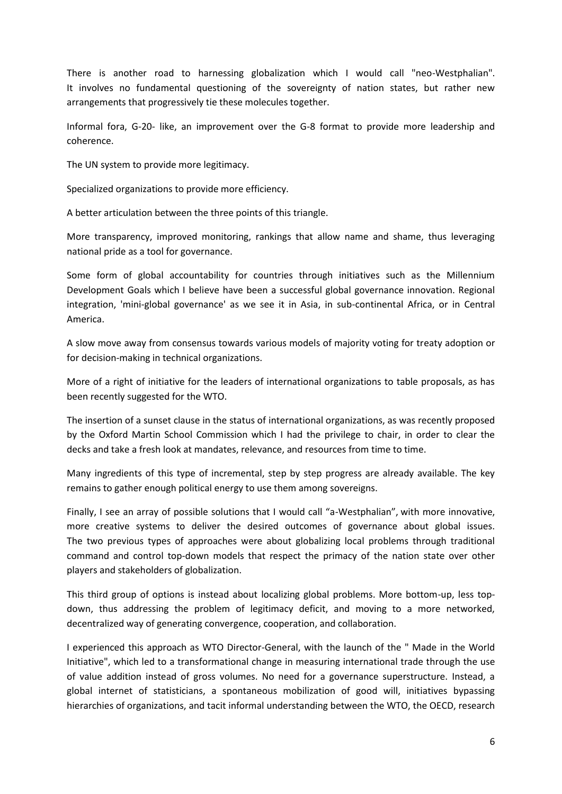There is another road to harnessing globalization which I would call "neo-Westphalian". It involves no fundamental questioning of the sovereignty of nation states, but rather new arrangements that progressively tie these molecules together.

Informal fora, G-20- like, an improvement over the G-8 format to provide more leadership and coherence.

The UN system to provide more legitimacy.

Specialized organizations to provide more efficiency.

A better articulation between the three points of this triangle.

More transparency, improved monitoring, rankings that allow name and shame, thus leveraging national pride as a tool for governance.

Some form of global accountability for countries through initiatives such as the Millennium Development Goals which I believe have been a successful global governance innovation. Regional integration, 'mini-global governance' as we see it in Asia, in sub-continental Africa, or in Central America.

A slow move away from consensus towards various models of majority voting for treaty adoption or for decision-making in technical organizations.

More of a right of initiative for the leaders of international organizations to table proposals, as has been recently suggested for the WTO.

The insertion of a sunset clause in the status of international organizations, as was recently proposed by the Oxford Martin School Commission which I had the privilege to chair, in order to clear the decks and take a fresh look at mandates, relevance, and resources from time to time.

Many ingredients of this type of incremental, step by step progress are already available. The key remains to gather enough political energy to use them among sovereigns.

Finally, I see an array of possible solutions that I would call "a-Westphalian", with more innovative, more creative systems to deliver the desired outcomes of governance about global issues. The two previous types of approaches were about globalizing local problems through traditional command and control top-down models that respect the primacy of the nation state over other players and stakeholders of globalization.

This third group of options is instead about localizing global problems. More bottom-up, less topdown, thus addressing the problem of legitimacy deficit, and moving to a more networked, decentralized way of generating convergence, cooperation, and collaboration.

I experienced this approach as WTO Director-General, with the launch of the " Made in the World Initiative", which led to a transformational change in measuring international trade through the use of value addition instead of gross volumes. No need for a governance superstructure. Instead, a global internet of statisticians, a spontaneous mobilization of good will, initiatives bypassing hierarchies of organizations, and tacit informal understanding between the WTO, the OECD, research